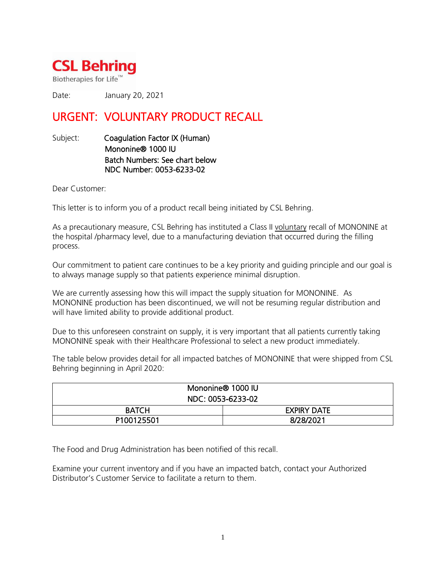

Biotherapies for Life<sup>™</sup>

Date: January 20, 2021

## URGENT: VOLUNTARY PRODUCT RECALL

Subject: Coagulation Factor IX (Human) Mononine® 1000 IU Batch Numbers: See chart below NDC Number: 0053-6233-02

Dear Customer:

This letter is to inform you of a product recall being initiated by CSL Behring.

As a precautionary measure, CSL Behring has instituted a Class II voluntary recall of MONONINE at the hospital /pharmacy level, due to a manufacturing deviation that occurred during the filling process.

Our commitment to patient care continues to be a key priority and guiding principle and our goal is to always manage supply so that patients experience minimal disruption.

We are currently assessing how this will impact the supply situation for MONONINE. As MONONINE production has been discontinued, we will not be resuming regular distribution and will have limited ability to provide additional product.

Due to this unforeseen constraint on supply, it is very important that all patients currently taking MONONINE speak with their Healthcare Professional to select a new product immediately.

The table below provides detail for all impacted batches of MONONINE that were shipped from CSL Behring beginning in April 2020:

| Mononine® 1000 IU |                    |
|-------------------|--------------------|
| NDC: 0053-6233-02 |                    |
| <b>BATCH</b>      | <b>EXPIRY DATE</b> |
| P100125501        | 8/28/2021          |

The Food and Drug Administration has been notified of this recall.

Examine your current inventory and if you have an impacted batch, contact your Authorized Distributor's Customer Service to facilitate a return to them.